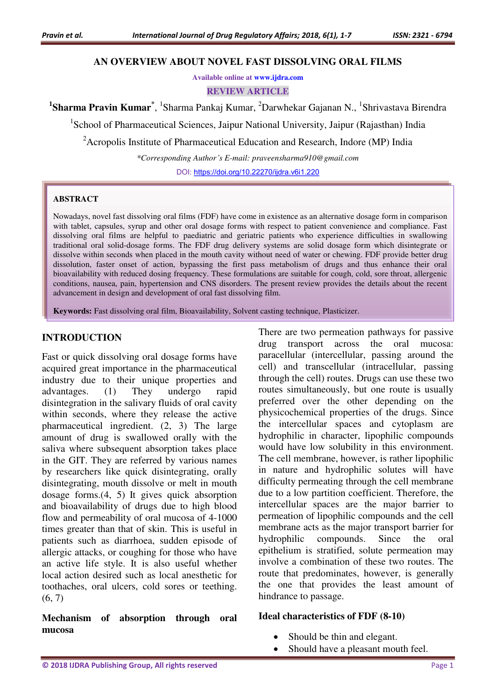#### **AN OVERVIEW ABOUT NOVEL FAST DISSOLVING ORAL FILMS**

**Available online at [www.ijdra.com](http://www.ijdra.com/)**

**REVIEW ARTICLE** 

<sup>1</sup>Sharma Pravin Kumar<sup>\*</sup>, <sup>1</sup>Sharma Pankaj Kumar, <sup>2</sup>Darwhekar Gajanan N., <sup>1</sup>Shrivastava Birendra

<sup>1</sup>School of Pharmaceutical Sciences, Jaipur National University, Jaipur (Rajasthan) India

<sup>2</sup> Acropolis Institute of Pharmaceutical Education and Research, Indore (MP) India

*\*Corresponding Author's E-mail: praveensharma910@gmail.com* 

DOI: [https://doi.org/10.22270/ijdra.v6i1.220](https://doi.org/10.22270/ijdra.v6i1.212)

#### **ABSTRACT**

Nowadays, novel fast dissolving oral films (FDF) have come in existence as an alternative dosage form in comparison with tablet, capsules, syrup and other oral dosage forms with respect to patient convenience and compliance. Fast dissolving oral films are helpful to paediatric and geriatric patients who experience difficulties in swallowing traditional oral solid-dosage forms. The FDF drug delivery systems are solid dosage form which disintegrate or dissolve within seconds when placed in the mouth cavity without need of water or chewing. FDF provide better drug dissolution, faster onset of action, bypassing the first pass metabolism of drugs and thus enhance their oral bioavailability with reduced dosing frequency. These formulations are suitable for cough, cold, sore throat, allergenic conditions, nausea, pain, hypertension and CNS disorders. The present review provides the details about the recent advancement in design and development of oral fast dissolving film.

**Keywords:** Fast dissolving oral film, Bioavailability, Solvent casting technique, Plasticizer.

#### **INTRODUCTION**

Fast or quick dissolving oral dosage forms have acquired great importance in the pharmaceutical industry due to their unique properties and advantages. (1) They undergo rapid disintegration in the salivary fluids of oral cavity within seconds, where they release the active pharmaceutical ingredient. (2, 3) The large amount of drug is swallowed orally with the saliva where subsequent absorption takes place in the GIT. They are referred by various names by researchers like quick disintegrating, orally disintegrating, mouth dissolve or melt in mouth dosage forms.(4, 5) It gives quick absorption and bioavailability of drugs due to high blood flow and permeability of oral mucosa of 4-1000 times greater than that of skin. This is useful in patients such as diarrhoea, sudden episode of allergic attacks, or coughing for those who have an active life style. It is also useful whether local action desired such as local anesthetic for toothaches, oral ulcers, cold sores or teething.  $(6, 7)$ 

**Mechanism of absorption through oral mucosa** 

There are two permeation pathways for passive drug transport across the oral mucosa: paracellular (intercellular, passing around the cell) and transcellular (intracellular, passing through the cell) routes. Drugs can use these two routes simultaneously, but one route is usually preferred over the other depending on the physicochemical properties of the drugs. Since the intercellular spaces and cytoplasm are hydrophilic in character, lipophilic compounds would have low solubility in this environment. The cell membrane, however, is rather lipophilic in nature and hydrophilic solutes will have difficulty permeating through the cell membrane due to a low partition coefficient. Therefore, the intercellular spaces are the major barrier to permeation of lipophilic compounds and the cell membrane acts as the major transport barrier for hydrophilic compounds. Since the oral epithelium is stratified, solute permeation may involve a combination of these two routes. The route that predominates, however, is generally the one that provides the least amount of hindrance to passage.

#### **Ideal characteristics of FDF (8-10)**

- Should be thin and elegant.
- Should have a pleasant mouth feel.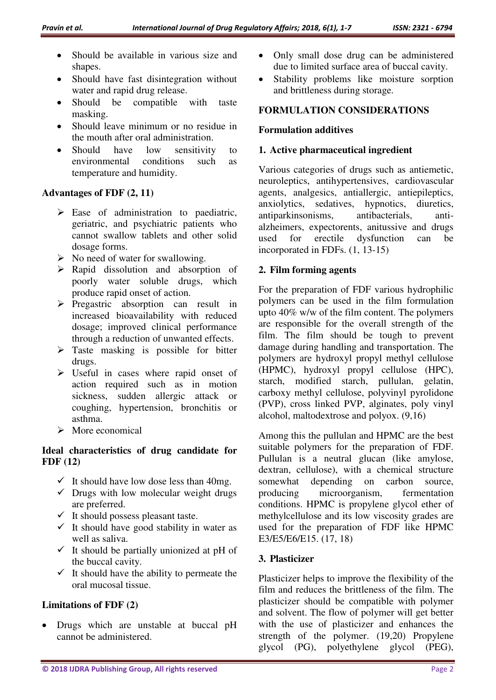- Should be available in various size and shapes.
- Should have fast disintegration without water and rapid drug release.
- Should be compatible with taste masking.
- Should leave minimum or no residue in the mouth after oral administration.
- Should have low sensitivity to environmental conditions such as temperature and humidity.

#### **Advantages of FDF (2, 11)**

- $\triangleright$  Ease of administration to paediatric, geriatric, and psychiatric patients who cannot swallow tablets and other solid dosage forms.
- $\triangleright$  No need of water for swallowing.
- $\triangleright$  Rapid dissolution and absorption of poorly water soluble drugs, which produce rapid onset of action.
- $\triangleright$  Pregastric absorption can result in increased bioavailability with reduced dosage; improved clinical performance through a reduction of unwanted effects.
- $\triangleright$  Taste masking is possible for bitter drugs.
- $\triangleright$  Useful in cases where rapid onset of action required such as in motion sickness, sudden allergic attack or coughing, hypertension, bronchitis or asthma.
- $\triangleright$  More economical

#### **Ideal characteristics of drug candidate for FDF (12)**

- $\checkmark$  It should have low dose less than 40mg.
- $\checkmark$  Drugs with low molecular weight drugs are preferred.
- $\checkmark$  It should possess pleasant taste.
- $\checkmark$  It should have good stability in water as well as saliva.
- $\checkmark$  It should be partially unionized at pH of the buccal cavity.
- $\checkmark$  It should have the ability to permeate the oral mucosal tissue.

# **Limitations of FDF (2)**

 Drugs which are unstable at buccal pH cannot be administered.

- Only small dose drug can be administered due to limited surface area of buccal cavity.
- Stability problems like moisture sorption and brittleness during storage.

## **FORMULATION CONSIDERATIONS**

#### **Formulation additives**

#### **1. Active pharmaceutical ingredient**

Various categories of drugs such as antiemetic, neuroleptics, antihypertensives, cardiovascular agents, analgesics, antiallergic, antiepileptics, anxiolytics, sedatives, hypnotics, diuretics, antiparkinsonisms, antibacterials, antialzheimers, expectorents, anitussive and drugs used for erectile dysfunction can be incorporated in FDFs. (1, 13-15)

#### **2. Film forming agents**

For the preparation of FDF various hydrophilic polymers can be used in the film formulation upto 40% w/w of the film content. The polymers are responsible for the overall strength of the film. The film should be tough to prevent damage during handling and transportation. The polymers are hydroxyl propyl methyl cellulose (HPMC), hydroxyl propyl cellulose (HPC), starch, modified starch, pullulan, gelatin, carboxy methyl cellulose, polyvinyl pyrolidone (PVP), cross linked PVP, alginates, poly vinyl alcohol, maltodextrose and polyox. (9,16)

Among this the pullulan and HPMC are the best suitable polymers for the preparation of FDF. Pullulan is a neutral glucan (like amylose, dextran, cellulose), with a chemical structure somewhat depending on carbon source, producing microorganism, fermentation conditions. HPMC is propylene glycol ether of methylcellulose and its low viscosity grades are used for the preparation of FDF like HPMC E3/E5/E6/E15. (17, 18)

## **3. Plasticizer**

Plasticizer helps to improve the flexibility of the film and reduces the brittleness of the film. The plasticizer should be compatible with polymer and solvent. The flow of polymer will get better with the use of plasticizer and enhances the strength of the polymer. (19,20) Propylene glycol (PG), polyethylene glycol (PEG),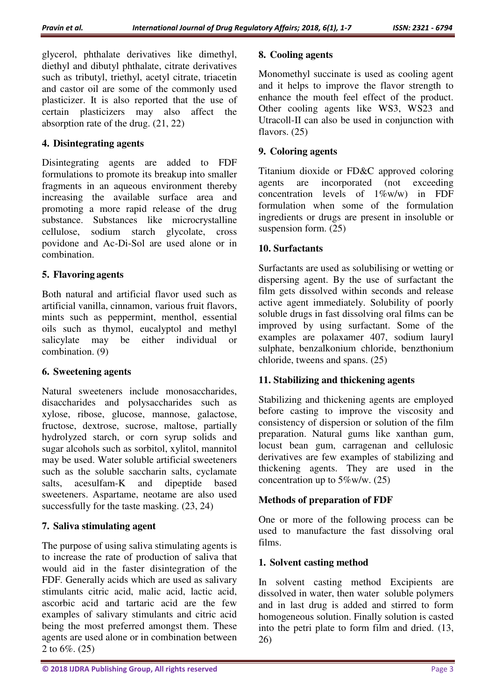glycerol, phthalate derivatives like dimethyl, diethyl and dibutyl phthalate, citrate derivatives such as tributyl, triethyl, acetyl citrate, triacetin and castor oil are some of the commonly used plasticizer. It is also reported that the use of certain plasticizers may also affect the absorption rate of the drug. (21, 22)

## **4. Disintegrating agents**

Disintegrating agents are added to FDF formulations to promote its breakup into smaller fragments in an aqueous environment thereby increasing the available surface area and promoting a more rapid release of the drug substance. Substances like microcrystalline cellulose, sodium starch glycolate, cross povidone and Ac-Di-Sol are used alone or in combination.

#### **5. Flavoring agents**

Both natural and artificial flavor used such as artificial vanilla, cinnamon, various fruit flavors, mints such as peppermint, menthol, essential oils such as thymol, eucalyptol and methyl salicylate may be either individual or combination. (9)

## **6. Sweetening agents**

Natural sweeteners include monosaccharides, disaccharides and polysaccharides such as xylose, ribose, glucose, mannose, galactose, fructose, dextrose, sucrose, maltose, partially hydrolyzed starch, or corn syrup solids and sugar alcohols such as sorbitol, xylitol, mannitol may be used. Water soluble artificial sweeteners such as the soluble saccharin salts, cyclamate salts, acesulfam-K and dipeptide based sweeteners. Aspartame, neotame are also used successfully for the taste masking. (23, 24)

## **7. Saliva stimulating agent**

The purpose of using saliva stimulating agents is to increase the rate of production of saliva that would aid in the faster disintegration of the FDF. Generally acids which are used as salivary stimulants citric acid, malic acid, lactic acid, ascorbic acid and tartaric acid are the few examples of salivary stimulants and citric acid being the most preferred amongst them. These agents are used alone or in combination between 2 to 6%. (25)

#### **8. Cooling agents**

Monomethyl succinate is used as cooling agent and it helps to improve the flavor strength to enhance the mouth feel effect of the product. Other cooling agents like WS3, WS23 and Utracoll-II can also be used in conjunction with flavors. (25)

## **9. Coloring agents**

Titanium dioxide or FD&C approved coloring agents are incorporated (not exceeding concentration levels of 1%w/w) in FDF formulation when some of the formulation ingredients or drugs are present in insoluble or suspension form. (25)

## **10. Surfactants**

Surfactants are used as solubilising or wetting or dispersing agent. By the use of surfactant the film gets dissolved within seconds and release active agent immediately. Solubility of poorly soluble drugs in fast dissolving oral films can be improved by using surfactant. Some of the examples are polaxamer 407, sodium lauryl sulphate, benzalkonium chloride, benzthonium chloride, tweens and spans. (25)

## **11. Stabilizing and thickening agents**

Stabilizing and thickening agents are employed before casting to improve the viscosity and consistency of dispersion or solution of the film preparation. Natural gums like xanthan gum, locust bean gum, carragenan and cellulosic derivatives are few examples of stabilizing and thickening agents. They are used in the concentration up to  $5\%$  w/w. (25)

## **Methods of preparation of FDF**

One or more of the following process can be used to manufacture the fast dissolving oral films.

## **1. Solvent casting method**

In solvent casting method Excipients are dissolved in water, then water soluble polymers and in last drug is added and stirred to form homogeneous solution. Finally solution is casted into the petri plate to form film and dried. (13, 26)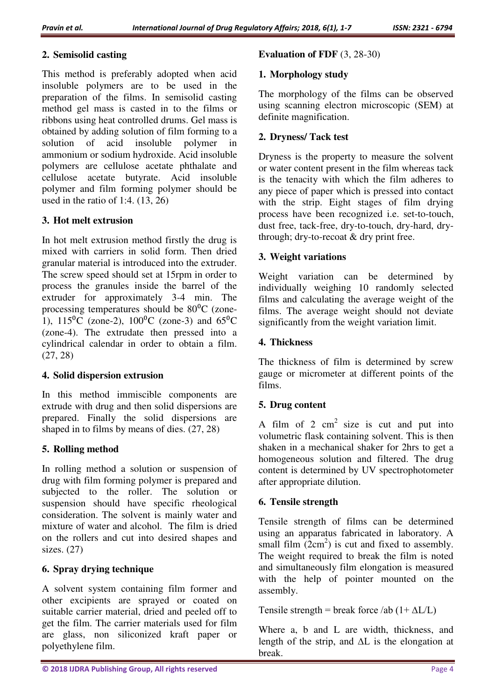## **2. Semisolid casting**

This method is preferably adopted when acid insoluble polymers are to be used in the preparation of the films. In semisolid casting method gel mass is casted in to the films or ribbons using heat controlled drums. Gel mass is obtained by adding solution of film forming to a solution of acid insoluble polymer in ammonium or sodium hydroxide. Acid insoluble polymers are cellulose acetate phthalate and cellulose acetate butyrate. Acid insoluble polymer and film forming polymer should be used in the ratio of 1:4.  $(13, 26)$ 

# **3. Hot melt extrusion**

In hot melt extrusion method firstly the drug is mixed with carriers in solid form. Then dried granular material is introduced into the extruder. The screw speed should set at 15rpm in order to process the granules inside the barrel of the extruder for approximately 3-4 min. The processing temperatures should be  $80^{\circ}$ C (zone-1),  $115\text{°C}$  (zone-2),  $100\text{°C}$  (zone-3) and  $65\text{°C}$ (zone-4). The extrudate then pressed into a cylindrical calendar in order to obtain a film. (27, 28)

## **4. Solid dispersion extrusion**

In this method immiscible components are extrude with drug and then solid dispersions are prepared. Finally the solid dispersions are shaped in to films by means of dies. (27, 28)

## **5. Rolling method**

In rolling method a solution or suspension of drug with film forming polymer is prepared and subjected to the roller. The solution or suspension should have specific rheological consideration. The solvent is mainly water and mixture of water and alcohol. The film is dried on the rollers and cut into desired shapes and sizes. (27)

## **6. Spray drying technique**

A solvent system containing film former and other excipients are sprayed or coated on suitable carrier material, dried and peeled off to get the film. The carrier materials used for film are glass, non siliconized kraft paper or polyethylene film.

## **Evaluation of FDF** (3, 28-30)

# **1. Morphology study**

The morphology of the films can be observed using scanning electron microscopic (SEM) at definite magnification.

# **2. Dryness/ Tack test**

Dryness is the property to measure the solvent or water content present in the film whereas tack is the tenacity with which the film adheres to any piece of paper which is pressed into contact with the strip. Eight stages of film drying process have been recognized i.e. set-to-touch, dust free, tack-free, dry-to-touch, dry-hard, drythrough; dry-to-recoat & dry print free.

## **3. Weight variations**

Weight variation can be determined by individually weighing 10 randomly selected films and calculating the average weight of the films. The average weight should not deviate significantly from the weight variation limit.

## **4. Thickness**

The thickness of film is determined by screw gauge or micrometer at different points of the films.

## **5. Drug content**

A film of 2  $cm<sup>2</sup>$  size is cut and put into volumetric flask containing solvent. This is then shaken in a mechanical shaker for 2hrs to get a homogeneous solution and filtered. The drug content is determined by UV spectrophotometer after appropriate dilution.

## **6. Tensile strength**

Tensile strength of films can be determined using an apparatus fabricated in laboratory. A small film  $(2cm<sup>2</sup>)$  is cut and fixed to assembly. The weight required to break the film is noted and simultaneously film elongation is measured with the help of pointer mounted on the assembly.

Tensile strength = break force /ab  $(1 + \Delta L/L)$ 

Where a, b and L are width, thickness, and length of the strip, and ∆L is the elongation at break.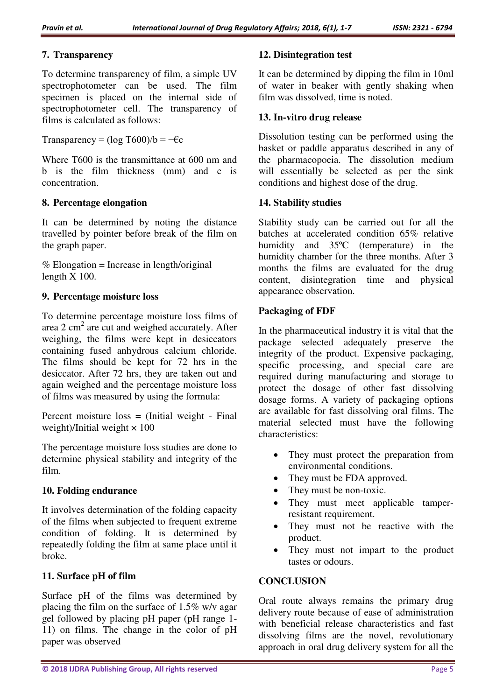## **7. Transparency**

To determine transparency of film, a simple UV spectrophotometer can be used. The film specimen is placed on the internal side of spectrophotometer cell. The transparency of films is calculated as follows:

Transparency =  $(\log T600)/b = -\epsilon c$ 

Where T600 is the transmittance at 600 nm and b is the film thickness (mm) and c is concentration.

## **8. Percentage elongation**

It can be determined by noting the distance travelled by pointer before break of the film on the graph paper.

 $%$  Elongation = Increase in length/original length X 100.

# **9. Percentage moisture loss**

To determine percentage moisture loss films of area  $2 \text{ cm}^2$  are cut and weighed accurately. After weighing, the films were kept in desiccators containing fused anhydrous calcium chloride. The films should be kept for 72 hrs in the desiccator. After 72 hrs, they are taken out and again weighed and the percentage moisture loss of films was measured by using the formula:

Percent moisture loss = (Initial weight - Final weight)/Initial weight  $\times$  100

The percentage moisture loss studies are done to determine physical stability and integrity of the film.

# **10. Folding endurance**

It involves determination of the folding capacity of the films when subjected to frequent extreme condition of folding. It is determined by repeatedly folding the film at same place until it broke.

# **11. Surface pH of film**

Surface pH of the films was determined by placing the film on the surface of 1.5% w/v agar gel followed by placing pH paper (pH range 1- 11) on films. The change in the color of pH paper was observed

## **12. Disintegration test**

It can be determined by dipping the film in 10ml of water in beaker with gently shaking when film was dissolved, time is noted.

## **13. In-vitro drug release**

Dissolution testing can be performed using the basket or paddle apparatus described in any of the pharmacopoeia. The dissolution medium will essentially be selected as per the sink conditions and highest dose of the drug.

## **14. Stability studies**

Stability study can be carried out for all the batches at accelerated condition 65% relative humidity and 35ºC (temperature) in the humidity chamber for the three months. After 3 months the films are evaluated for the drug content, disintegration time and physical appearance observation.

# **Packaging of FDF**

In the pharmaceutical industry it is vital that the package selected adequately preserve the integrity of the product. Expensive packaging, specific processing, and special care are required during manufacturing and storage to protect the dosage of other fast dissolving dosage forms. A variety of packaging options are available for fast dissolving oral films. The material selected must have the following characteristics:

- They must protect the preparation from environmental conditions.
- They must be FDA approved.
- They must be non-toxic.
- They must meet applicable tamperresistant requirement.
- They must not be reactive with the product.
- They must not impart to the product tastes or odours.

## **CONCLUSION**

Oral route always remains the primary drug delivery route because of ease of administration with beneficial release characteristics and fast dissolving films are the novel, revolutionary approach in oral drug delivery system for all the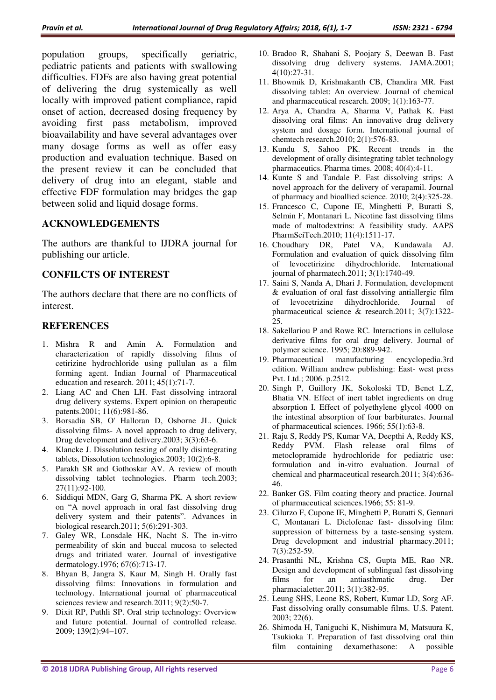population groups, specifically geriatric, pediatric patients and patients with swallowing difficulties. FDFs are also having great potential of delivering the drug systemically as well locally with improved patient compliance, rapid onset of action, decreased dosing frequency by avoiding first pass metabolism, improved bioavailability and have several advantages over many dosage forms as well as offer easy production and evaluation technique. Based on the present review it can be concluded that delivery of drug into an elegant, stable and effective FDF formulation may bridges the gap between solid and liquid dosage forms.

#### **ACKNOWLEDGEMENTS**

The authors are thankful to IJDRA journal for publishing our article.

#### **CONFILCTS OF INTEREST**

The authors declare that there are no conflicts of interest.

#### **REFERENCES**

- 1. Mishra R and Amin A. Formulation and characterization of rapidly dissolving films of cetirizine hydrochloride using pullulan as a film forming agent. Indian Journal of Pharmaceutical education and research. 2011; 45(1):71-7.
- 2. Liang AC and Chen LH. Fast dissolving intraoral drug delivery systems. Expert opinion on therapeutic patents.2001; 11(6):981-86.
- 3. Borsadia SB, O' Halloran D, Osborne JL. Quick dissolving films- A novel approach to drug delivery, Drug development and delivery.2003; 3(3):63-6.
- 4. Klancke J. Dissolution testing of orally disintegrating tablets, Dissolution technologies.2003; 10(2):6-8.
- 5. Parakh SR and Gothoskar AV. A review of mouth dissolving tablet technologies. Pharm tech.2003; 27(11):92-100.
- 6. Siddiqui MDN, Garg G, Sharma PK. A short review on "A novel approach in oral fast dissolving drug delivery system and their patents". Advances in biological research.2011; 5(6):291-303.
- 7. Galey WR, Lonsdale HK, Nacht S. The in-vitro permeability of skin and buccal mucosa to selected drugs and tritiated water. Journal of investigative dermatology.1976; 67(6):713-17.
- 8. Bhyan B, Jangra S, Kaur M, Singh H. Orally fast dissolving films: Innovations in formulation and technology. International journal of pharmaceutical sciences review and research.2011; 9(2):50-7.
- 9. Dixit RP, Puthli SP. Oral strip technology: Overview and future potential. Journal of controlled release. 2009; 139(2):94–107.
- 10. Bradoo R, Shahani S, Poojary S, Deewan B. Fast dissolving drug delivery systems. JAMA.2001; 4(10):27-31.
- 11. Bhowmik D, Krishnakanth CB, Chandira MR. Fast dissolving tablet: An overview. Journal of chemical and pharmaceutical research. 2009; 1(1):163-77.
- 12. Arya A, Chandra A, Sharma V, Pathak K. Fast dissolving oral films: An innovative drug delivery system and dosage form. International journal of chemtech research.2010; 2(1):576-83.
- 13. Kundu S, Sahoo PK. Recent trends in the development of orally disintegrating tablet technology pharmaceutics. Pharma times. 2008; 40(4):4-11.
- 14. Kunte S and Tandale P. Fast dissolving strips: A novel approach for the delivery of verapamil. Journal of pharmacy and bioallied science. 2010; 2(4):325-28.
- 15. Francesco C, Cupone IE, Minghetti P, Buratti S, Selmin F, Montanari L. Nicotine fast dissolving films made of maltodextrins: A feasibility study. AAPS PharmSciTech.2010; 11(4):1511-17.
- 16. Choudhary DR, Patel VA, Kundawala AJ. Formulation and evaluation of quick dissolving film of levocetirizine dihydrochloride. International journal of pharmatech.2011; 3(1):1740-49.
- 17. Saini S, Nanda A, Dhari J. Formulation, development & evaluation of oral fast dissolving antiallergic film of levocetrizine dihydrochloride. Journal of pharmaceutical science & research.2011; 3(7):1322- 25.
- 18. Sakellariou P and Rowe RC. Interactions in cellulose derivative films for oral drug delivery. Journal of polymer science. 1995; 20:889-942.
- 19. Pharmaceutical manufacturing encyclopedia.3rd edition. William andrew publishing: East- west press Pvt. Ltd.; 2006. p.2512.
- 20. Singh P, Guillory JK, Sokoloski TD, Benet L.Z, Bhatia VN. Effect of inert tablet ingredients on drug absorption I. Effect of polyethylene glycol 4000 on the intestinal absorption of four barbiturates. Journal of pharmaceutical sciences. 1966; 55(1):63-8.
- 21. Raju S, Reddy PS, Kumar VA, Deepthi A, Reddy KS, Reddy PVM. Flash release oral films of metoclopramide hydrochloride for pediatric use: formulation and in-vitro evaluation. Journal of chemical and pharmaceutical research.2011; 3(4):636- 46.
- 22. Banker GS. Film coating theory and practice. Journal of pharmaceutical sciences.1966; 55: 81-9.
- 23. Cilurzo F, Cupone IE, Minghetti P, Buratti S, Gennari C, Montanari L. Diclofenac fast- dissolving film: suppression of bitterness by a taste-sensing system. Drug development and industrial pharmacy.2011; 7(3):252-59.
- 24. Prasanthi NL, Krishna CS, Gupta ME, Rao NR. Design and development of sublingual fast dissolving films for an antiasthmatic drug. Der pharmacialetter.2011; 3(1):382-95.
- 25. Leung SHS, Leone RS, Robert, Kumar LD, Sorg AF. Fast dissolving orally consumable films. U.S. Patent. 2003; 22(6).
- 26. Shimoda H, Taniguchi K, Nishimura M, Matsuura K, Tsukioka T. Preparation of fast dissolving oral thin film containing dexamethasone: A possible